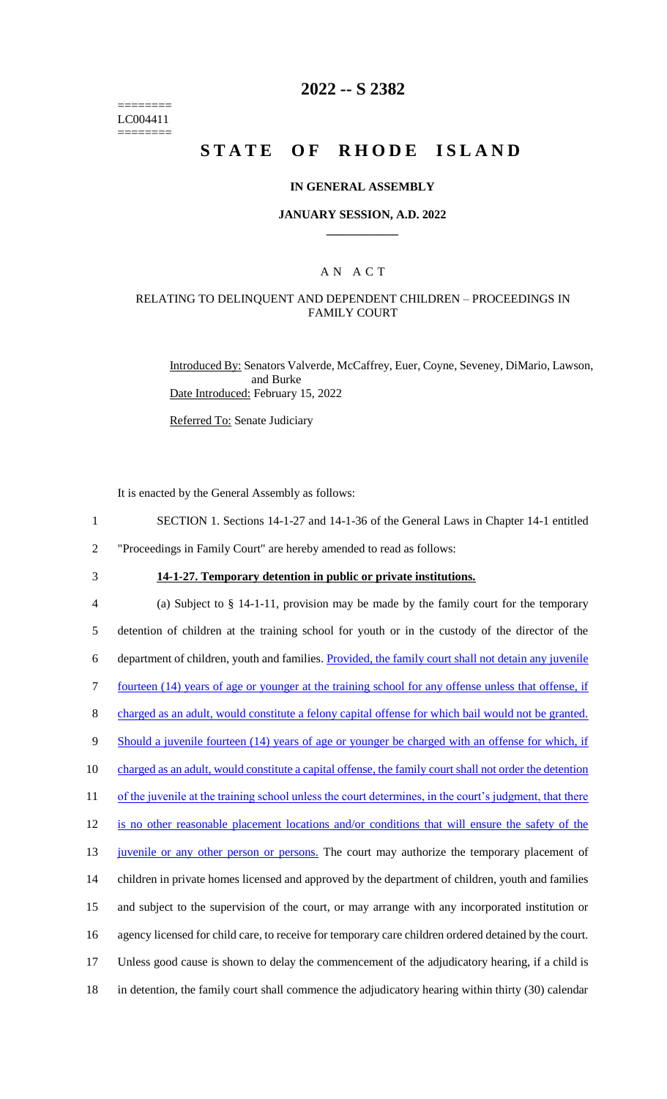======== LC004411 ========

## **2022 -- S 2382**

## **STATE OF RHODE ISLAND**

### **IN GENERAL ASSEMBLY**

### **JANUARY SESSION, A.D. 2022 \_\_\_\_\_\_\_\_\_\_\_\_**

## A N A C T

## RELATING TO DELINQUENT AND DEPENDENT CHILDREN – PROCEEDINGS IN FAMILY COURT

Introduced By: Senators Valverde, McCaffrey, Euer, Coyne, Seveney, DiMario, Lawson, and Burke Date Introduced: February 15, 2022

Referred To: Senate Judiciary

It is enacted by the General Assembly as follows:

- 1 SECTION 1. Sections 14-1-27 and 14-1-36 of the General Laws in Chapter 14-1 entitled
- 2 "Proceedings in Family Court" are hereby amended to read as follows:
- 

## 3 **14-1-27. Temporary detention in public or private institutions.**

 (a) Subject to § 14-1-11, provision may be made by the family court for the temporary detention of children at the training school for youth or in the custody of the director of the department of children, youth and families. Provided, the family court shall not detain any juvenile fourteen (14) years of age or younger at the training school for any offense unless that offense, if charged as an adult, would constitute a felony capital offense for which bail would not be granted. 9 Should a juvenile fourteen (14) years of age or younger be charged with an offense for which, if 10 charged as an adult, would constitute a capital offense, the family court shall not order the detention 11 of the juvenile at the training school unless the court determines, in the court's judgment, that there is no other reasonable placement locations and/or conditions that will ensure the safety of the 13 juvenile or any other person or persons. The court may authorize the temporary placement of children in private homes licensed and approved by the department of children, youth and families and subject to the supervision of the court, or may arrange with any incorporated institution or agency licensed for child care, to receive for temporary care children ordered detained by the court. Unless good cause is shown to delay the commencement of the adjudicatory hearing, if a child is in detention, the family court shall commence the adjudicatory hearing within thirty (30) calendar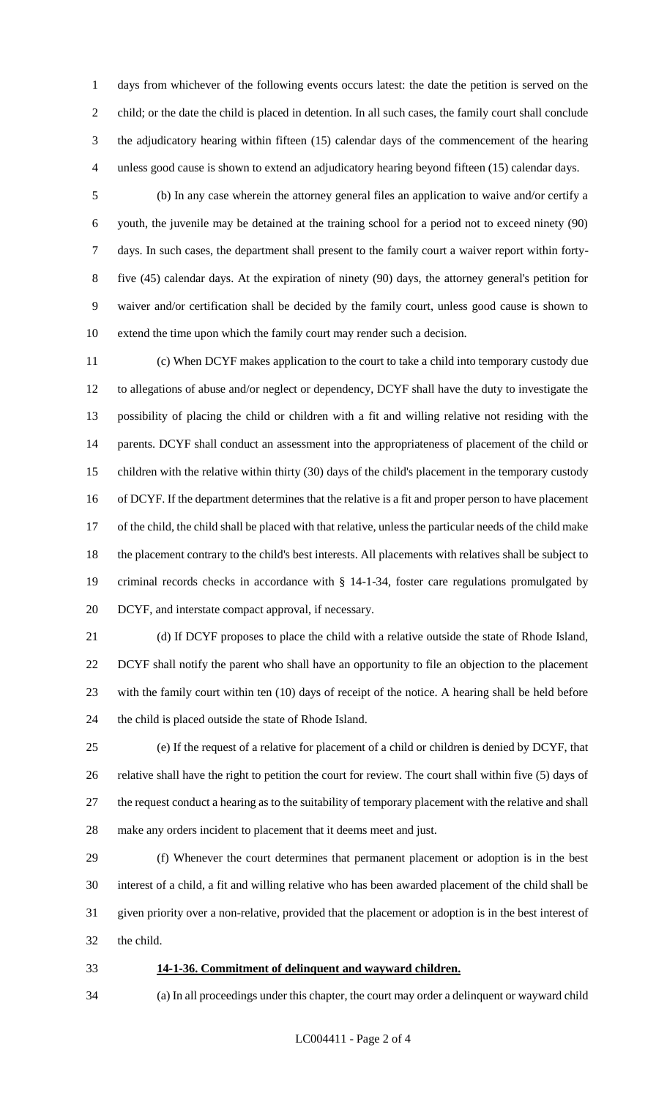days from whichever of the following events occurs latest: the date the petition is served on the child; or the date the child is placed in detention. In all such cases, the family court shall conclude the adjudicatory hearing within fifteen (15) calendar days of the commencement of the hearing unless good cause is shown to extend an adjudicatory hearing beyond fifteen (15) calendar days.

 (b) In any case wherein the attorney general files an application to waive and/or certify a youth, the juvenile may be detained at the training school for a period not to exceed ninety (90) days. In such cases, the department shall present to the family court a waiver report within forty- five (45) calendar days. At the expiration of ninety (90) days, the attorney general's petition for waiver and/or certification shall be decided by the family court, unless good cause is shown to extend the time upon which the family court may render such a decision.

 (c) When DCYF makes application to the court to take a child into temporary custody due to allegations of abuse and/or neglect or dependency, DCYF shall have the duty to investigate the possibility of placing the child or children with a fit and willing relative not residing with the parents. DCYF shall conduct an assessment into the appropriateness of placement of the child or children with the relative within thirty (30) days of the child's placement in the temporary custody of DCYF. If the department determines that the relative is a fit and proper person to have placement of the child, the child shall be placed with that relative, unless the particular needs of the child make the placement contrary to the child's best interests. All placements with relatives shall be subject to criminal records checks in accordance with § 14-1-34, foster care regulations promulgated by DCYF, and interstate compact approval, if necessary.

 (d) If DCYF proposes to place the child with a relative outside the state of Rhode Island, DCYF shall notify the parent who shall have an opportunity to file an objection to the placement with the family court within ten (10) days of receipt of the notice. A hearing shall be held before the child is placed outside the state of Rhode Island.

 (e) If the request of a relative for placement of a child or children is denied by DCYF, that relative shall have the right to petition the court for review. The court shall within five (5) days of the request conduct a hearing as to the suitability of temporary placement with the relative and shall make any orders incident to placement that it deems meet and just.

 (f) Whenever the court determines that permanent placement or adoption is in the best interest of a child, a fit and willing relative who has been awarded placement of the child shall be given priority over a non-relative, provided that the placement or adoption is in the best interest of the child.

#### **14-1-36. Commitment of delinquent and wayward children.**

# (a) In all proceedings under this chapter, the court may order a delinquent or wayward child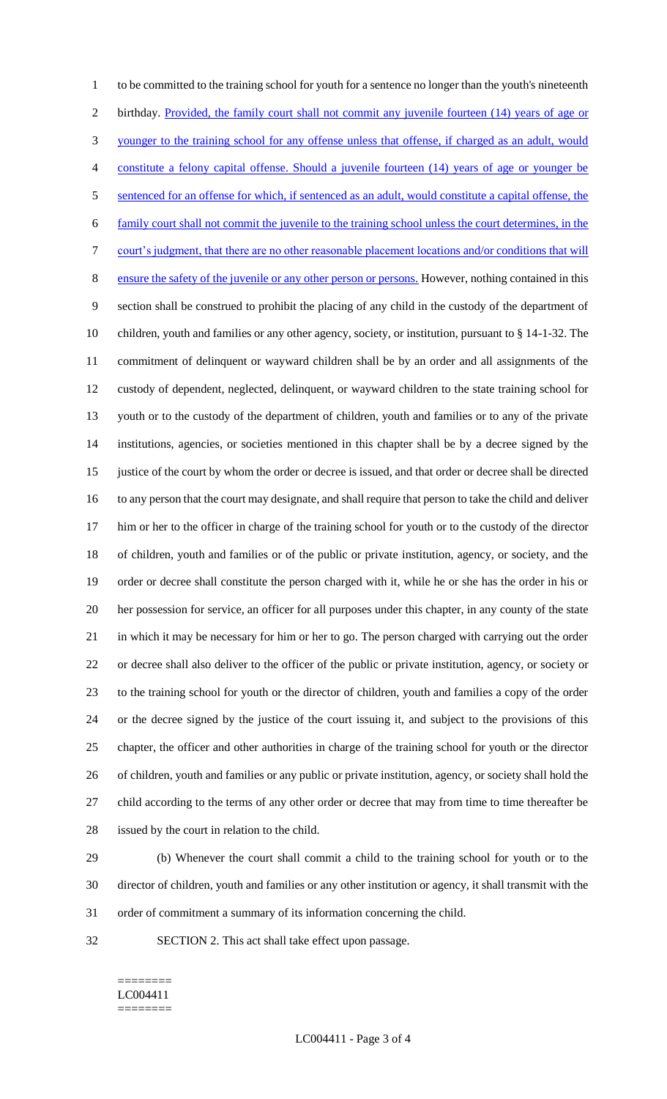to be committed to the training school for youth for a sentence no longer than the youth's nineteenth birthday. Provided, the family court shall not commit any juvenile fourteen (14) years of age or younger to the training school for any offense unless that offense, if charged as an adult, would constitute a felony capital offense. Should a juvenile fourteen (14) years of age or younger be sentenced for an offense for which, if sentenced as an adult, would constitute a capital offense, the family court shall not commit the juvenile to the training school unless the court determines, in the court's judgment, that there are no other reasonable placement locations and/or conditions that will ensure the safety of the juvenile or any other person or persons. However, nothing contained in this section shall be construed to prohibit the placing of any child in the custody of the department of children, youth and families or any other agency, society, or institution, pursuant to § 14-1-32. The commitment of delinquent or wayward children shall be by an order and all assignments of the custody of dependent, neglected, delinquent, or wayward children to the state training school for youth or to the custody of the department of children, youth and families or to any of the private institutions, agencies, or societies mentioned in this chapter shall be by a decree signed by the justice of the court by whom the order or decree is issued, and that order or decree shall be directed to any person that the court may designate, and shall require that person to take the child and deliver 17 him or her to the officer in charge of the training school for youth or to the custody of the director of children, youth and families or of the public or private institution, agency, or society, and the order or decree shall constitute the person charged with it, while he or she has the order in his or her possession for service, an officer for all purposes under this chapter, in any county of the state in which it may be necessary for him or her to go. The person charged with carrying out the order or decree shall also deliver to the officer of the public or private institution, agency, or society or to the training school for youth or the director of children, youth and families a copy of the order or the decree signed by the justice of the court issuing it, and subject to the provisions of this chapter, the officer and other authorities in charge of the training school for youth or the director of children, youth and families or any public or private institution, agency, or society shall hold the child according to the terms of any other order or decree that may from time to time thereafter be issued by the court in relation to the child.

(b) Whenever the court shall commit a child to the training school for youth or to the

director of children, youth and families or any other institution or agency, it shall transmit with the

- order of commitment a summary of its information concerning the child.
- SECTION 2. This act shall take effect upon passage.

### ======== LC004411 ========